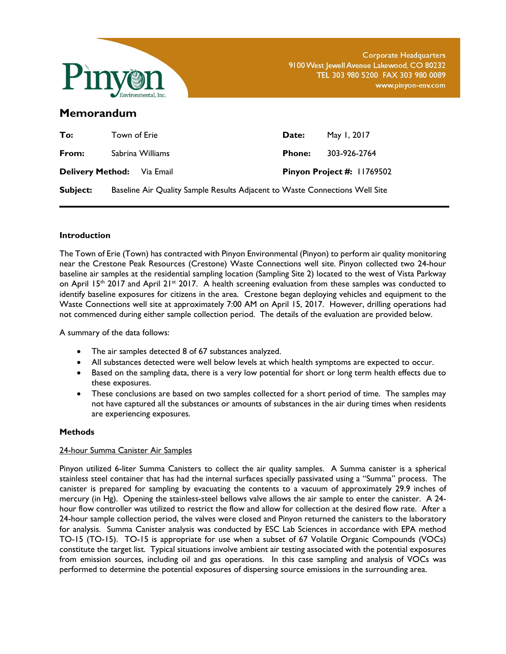

Corporate Headquarters 9100 West Jewell Avenue Lakewood, CO 80232 TEL 303 980 5200 FAX 303 980 0089 www.pinyon-env.com

# **Memorandum**

| To:                               | Town of Erie |                                                                             | Date:         | May 1, 2017                    |
|-----------------------------------|--------------|-----------------------------------------------------------------------------|---------------|--------------------------------|
| From:                             |              | Sabrina Williams                                                            | <b>Phone:</b> | 303-926-2764                   |
| <b>Delivery Method:</b> Via Email |              |                                                                             |               | Pinyon Project $\#$ : 11769502 |
| Subject:                          |              | Baseline Air Quality Sample Results Adjacent to Waste Connections Well Site |               |                                |

# **Introduction**

The Town of Erie (Town) has contracted with Pinyon Environmental (Pinyon) to perform air quality monitoring near the Crestone Peak Resources (Crestone) Waste Connections well site. Pinyon collected two 24-hour baseline air samples at the residential sampling location (Sampling Site 2) located to the west of Vista Parkway on April 15<sup>th</sup> 2017 and April 21<sup>st</sup> 2017. A health screening evaluation from these samples was conducted to identify baseline exposures for citizens in the area. Crestone began deploying vehicles and equipment to the Waste Connections well site at approximately 7:00 AM on April 15, 2017. However, drilling operations had not commenced during either sample collection period. The details of the evaluation are provided below.

A summary of the data follows:

- The air samples detected 8 of 67 substances analyzed.
- All substances detected were well below levels at which health symptoms are expected to occur.
- Based on the sampling data, there is a very low potential for short or long term health effects due to these exposures.
- These conclusions are based on two samples collected for a short period of time. The samples may not have captured all the substances or amounts of substances in the air during times when residents are experiencing exposures.

# **Methods**

# 24-hour Summa Canister Air Samples

Pinyon utilized 6-liter Summa Canisters to collect the air quality samples. A Summa canister is a spherical stainless steel container that has had the internal surfaces specially passivated using a "Summa" process. The canister is prepared for sampling by evacuating the contents to a vacuum of approximately 29.9 inches of mercury (in Hg). Opening the stainless-steel bellows valve allows the air sample to enter the canister. A 24 hour flow controller was utilized to restrict the flow and allow for collection at the desired flow rate. After a 24-hour sample collection period, the valves were closed and Pinyon returned the canisters to the laboratory for analysis. Summa Canister analysis was conducted by ESC Lab Sciences in accordance with EPA method TO-15 (TO-15). TO-15 is appropriate for use when a subset of 67 Volatile Organic Compounds (VOCs) constitute the target list. Typical situations involve ambient air testing associated with the potential exposures from emission sources, including oil and gas operations. In this case sampling and analysis of VOCs was performed to determine the potential exposures of dispersing source emissions in the surrounding area.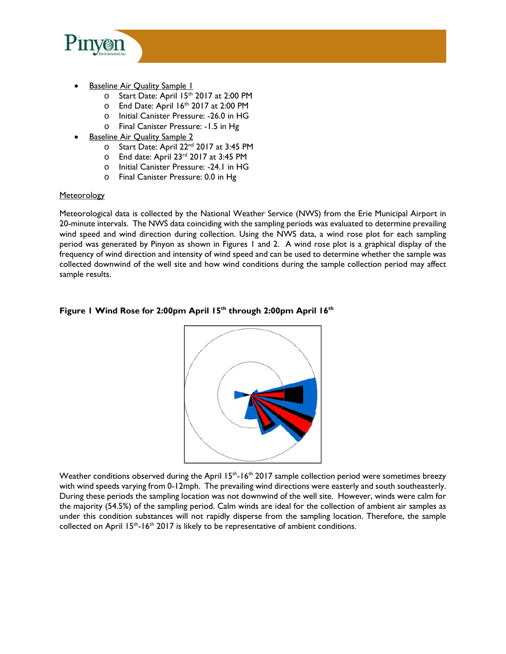

- **Baseline Air Quality Sample 1** 
	- o Start Date: April 15<sup>th</sup> 2017 at 2:00 PM
	- $\circ$  End Date: April 16<sup>th</sup> 2017 at 2:00 PM
	- o Initial Canister Pressure: -26.0 in HG
	- o Final Canister Pressure: -1.5 in Hg
- Baseline Air Quality Sample 2
	- o Start Date: April 22nd 2017 at 3:45 PM
	- o End date: April 23rd 2017 at 3:45 PM
	- o Initial Canister Pressure: -24.1 in HG
	- o Final Canister Pressure: 0.0 in Hg

# **Meteorology**

Meteorological data is collected by the National Weather Service (NWS) from the Erie Municipal Airport in 20-minute intervals. The NWS data coinciding with the sampling periods was evaluated to determine prevailing wind speed and wind direction during collection. Using the NWS data, a wind rose plot for each sampling period was generated by Pinyon as shown in Figures 1 and 2. A wind rose plot is a graphical display of the frequency of wind direction and intensity of wind speed and can be used to determine whether the sample was collected downwind of the well site and how wind conditions during the sample collection period may affect sample results.

# Figure 1 Wind Rose for 2:00pm April 15<sup>th</sup> through 2:00pm April 16<sup>th</sup>



Weather conditions observed during the April 15<sup>th</sup>-16<sup>th</sup> 2017 sample collection period were sometimes breezy with wind speeds varying from 0-12mph. The prevailing wind directions were easterly and south southeasterly. During these periods the sampling location was not downwind of the well site. However, winds were calm for the majority (54.5%) of the sampling period. Calm winds are ideal for the collection of ambient air samples as under this condition substances will not rapidly disperse from the sampling location. Therefore, the sample collected on April  $15<sup>th</sup> - 16<sup>th</sup>$  2017 is likely to be representative of ambient conditions.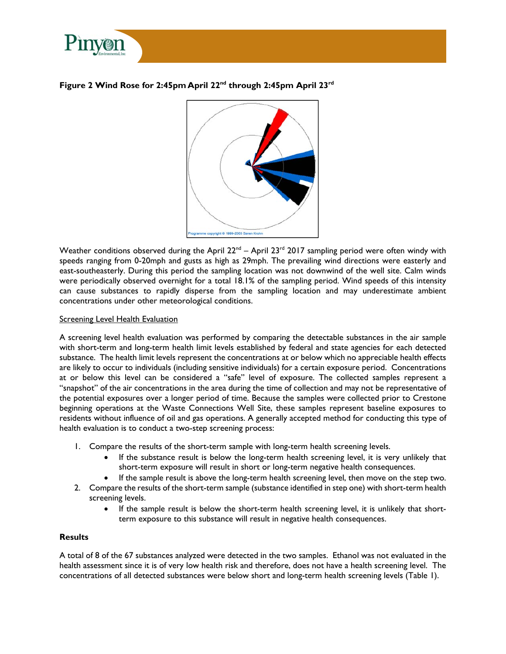

## **Figure 2 Wind Rose for 2:45pm April 22nd through 2:45pm April 23rd**



Weather conditions observed during the April  $22^{nd}$  – April 23<sup>rd</sup> 2017 sampling period were often windy with speeds ranging from 0-20mph and gusts as high as 29mph. The prevailing wind directions were easterly and east-southeasterly. During this period the sampling location was not downwind of the well site. Calm winds were periodically observed overnight for a total 18.1% of the sampling period. Wind speeds of this intensity can cause substances to rapidly disperse from the sampling location and may underestimate ambient concentrations under other meteorological conditions.

#### Screening Level Health Evaluation

A screening level health evaluation was performed by comparing the detectable substances in the air sample with short-term and long-term health limit levels established by federal and state agencies for each detected substance. The health limit levels represent the concentrations at or below which no appreciable health effects are likely to occur to individuals (including sensitive individuals) for a certain exposure period. Concentrations at or below this level can be considered a "safe" level of exposure. The collected samples represent a "snapshot" of the air concentrations in the area during the time of collection and may not be representative of the potential exposures over a longer period of time. Because the samples were collected prior to Crestone beginning operations at the Waste Connections Well Site, these samples represent baseline exposures to residents without influence of oil and gas operations. A generally accepted method for conducting this type of health evaluation is to conduct a two-step screening process:

- 1. Compare the results of the short-term sample with long-term health screening levels.
	- If the substance result is below the long-term health screening level, it is very unlikely that short-term exposure will result in short or long-term negative health consequences.
	- If the sample result is above the long-term health screening level, then move on the step two.
- 2. Compare the results of the short-term sample (substance identified in step one) with short-term health screening levels.
	- If the sample result is below the short-term health screening level, it is unlikely that shortterm exposure to this substance will result in negative health consequences.

### **Results**

A total of 8 of the 67 substances analyzed were detected in the two samples. Ethanol was not evaluated in the health assessment since it is of very low health risk and therefore, does not have a health screening level. The concentrations of all detected substances were below short and long-term health screening levels (Table 1).